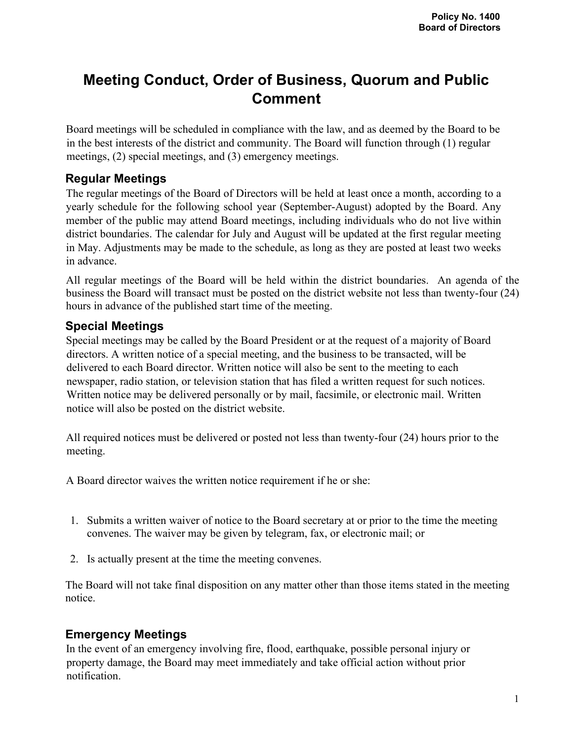# **Meeting Conduct, Order of Business, Quorum and Public Comment**

Board meetings will be scheduled in compliance with the law, and as deemed by the Board to be in the best interests of the district and community. The Board will function through (1) regular meetings, (2) special meetings, and (3) emergency meetings.

### **Regular Meetings**

The regular meetings of the Board of Directors will be held at least once a month, according to a yearly schedule for the following school year (September-August) adopted by the Board. Any member of the public may attend Board meetings, including individuals who do not live within district boundaries. The calendar for July and August will be updated at the first regular meeting in May. Adjustments may be made to the schedule, as long as they are posted at least two weeks in advance.

All regular meetings of the Board will be held within the district boundaries. An agenda of the business the Board will transact must be posted on the district website not less than twenty-four (24) hours in advance of the published start time of the meeting.

### **Special Meetings**

Special meetings may be called by the Board President or at the request of a majority of Board directors. A written notice of a special meeting, and the business to be transacted, will be delivered to each Board director. Written notice will also be sent to the meeting to each newspaper, radio station, or television station that has filed a written request for such notices. Written notice may be delivered personally or by mail, facsimile, or electronic mail. Written notice will also be posted on the district website.

All required notices must be delivered or posted not less than twenty-four (24) hours prior to the meeting.

A Board director waives the written notice requirement if he or she:

- 1. Submits a written waiver of notice to the Board secretary at or prior to the time the meeting convenes. The waiver may be given by telegram, fax, or electronic mail; or
- 2. Is actually present at the time the meeting convenes.

The Board will not take final disposition on any matter other than those items stated in the meeting notice.

### **Emergency Meetings**

In the event of an emergency involving fire, flood, earthquake, possible personal injury or property damage, the Board may meet immediately and take official action without prior notification.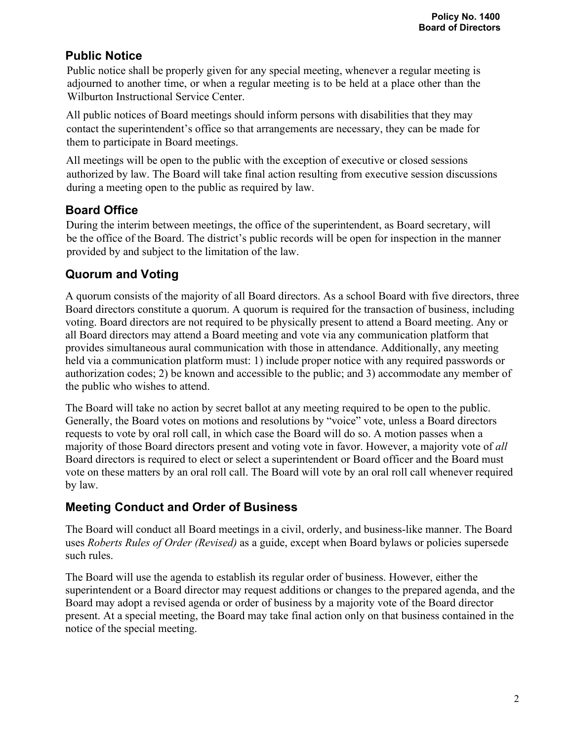## **Public Notice**

Public notice shall be properly given for any special meeting, whenever a regular meeting is adjourned to another time, or when a regular meeting is to be held at a place other than the Wilburton Instructional Service Center.

All public notices of Board meetings should inform persons with disabilities that they may contact the superintendent's office so that arrangements are necessary, they can be made for them to participate in Board meetings.

All meetings will be open to the public with the exception of executive or closed sessions authorized by law. The Board will take final action resulting from executive session discussions during a meeting open to the public as required by law.

## **Board Office**

During the interim between meetings, the office of the superintendent, as Board secretary, will be the office of the Board. The district's public records will be open for inspection in the manner provided by and subject to the limitation of the law.

## **Quorum and Voting**

A quorum consists of the majority of all Board directors. As a school Board with five directors, three Board directors constitute a quorum. A quorum is required for the transaction of business, including voting. Board directors are not required to be physically present to attend a Board meeting. Any or all Board directors may attend a Board meeting and vote via any communication platform that provides simultaneous aural communication with those in attendance. Additionally, any meeting held via a communication platform must: 1) include proper notice with any required passwords or authorization codes; 2) be known and accessible to the public; and 3) accommodate any member of the public who wishes to attend.

The Board will take no action by secret ballot at any meeting required to be open to the public. Generally, the Board votes on motions and resolutions by "voice" vote, unless a Board directors requests to vote by oral roll call, in which case the Board will do so. A motion passes when a majority of those Board directors present and voting vote in favor. However, a majority vote of *all* Board directors is required to elect or select a superintendent or Board officer and the Board must vote on these matters by an oral roll call. The Board will vote by an oral roll call whenever required by law.

### **Meeting Conduct and Order of Business**

The Board will conduct all Board meetings in a civil, orderly, and business-like manner. The Board uses *Roberts Rules of Order (Revised)* as a guide, except when Board bylaws or policies supersede such rules.

The Board will use the agenda to establish its regular order of business. However, either the superintendent or a Board director may request additions or changes to the prepared agenda, and the Board may adopt a revised agenda or order of business by a majority vote of the Board director present. At a special meeting, the Board may take final action only on that business contained in the notice of the special meeting.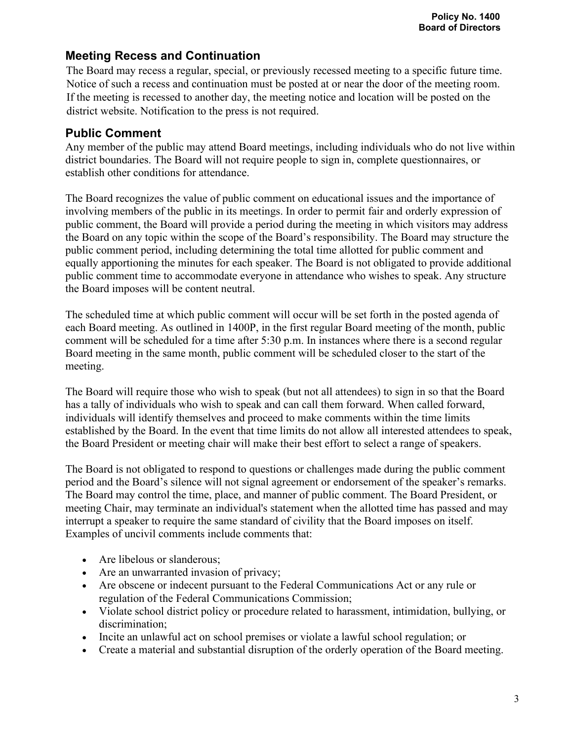### **Meeting Recess and Continuation**

The Board may recess a regular, special, or previously recessed meeting to a specific future time. Notice of such a recess and continuation must be posted at or near the door of the meeting room. If the meeting is recessed to another day, the meeting notice and location will be posted on the district website. Notification to the press is not required.

## **Public Comment**

Any member of the public may attend Board meetings, including individuals who do not live within district boundaries. The Board will not require people to sign in, complete questionnaires, or establish other conditions for attendance.

The Board recognizes the value of public comment on educational issues and the importance of involving members of the public in its meetings. In order to permit fair and orderly expression of public comment, the Board will provide a period during the meeting in which visitors may address the Board on any topic within the scope of the Board's responsibility. The Board may structure the public comment period, including determining the total time allotted for public comment and equally apportioning the minutes for each speaker. The Board is not obligated to provide additional public comment time to accommodate everyone in attendance who wishes to speak. Any structure the Board imposes will be content neutral.

The scheduled time at which public comment will occur will be set forth in the posted agenda of each Board meeting. As outlined in 1400P, in the first regular Board meeting of the month, public comment will be scheduled for a time after 5:30 p.m. In instances where there is a second regular Board meeting in the same month, public comment will be scheduled closer to the start of the meeting.

The Board will require those who wish to speak (but not all attendees) to sign in so that the Board has a tally of individuals who wish to speak and can call them forward. When called forward, individuals will identify themselves and proceed to make comments within the time limits established by the Board. In the event that time limits do not allow all interested attendees to speak, the Board President or meeting chair will make their best effort to select a range of speakers.

The Board is not obligated to respond to questions or challenges made during the public comment period and the Board's silence will not signal agreement or endorsement of the speaker's remarks. The Board may control the time, place, and manner of public comment. The Board President, or meeting Chair, may terminate an individual's statement when the allotted time has passed and may interrupt a speaker to require the same standard of civility that the Board imposes on itself. Examples of uncivil comments include comments that:

- Are libelous or slanderous;
- Are an unwarranted invasion of privacy;
- Are obscene or indecent pursuant to the Federal Communications Act or any rule or regulation of the Federal Communications Commission;
- Violate school district policy or procedure related to harassment, intimidation, bullying, or discrimination;
- Incite an unlawful act on school premises or violate a lawful school regulation; or
- Create a material and substantial disruption of the orderly operation of the Board meeting.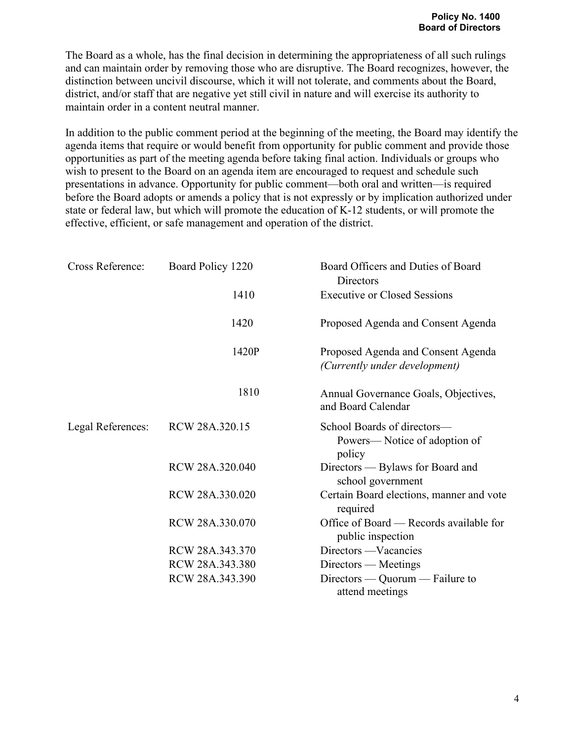The Board as a whole, has the final decision in determining the appropriateness of all such rulings and can maintain order by removing those who are disruptive. The Board recognizes, however, the distinction between uncivil discourse, which it will not tolerate, and comments about the Board, district, and/or staff that are negative yet still civil in nature and will exercise its authority to maintain order in a content neutral manner.

In addition to the public comment period at the beginning of the meeting, the Board may identify the agenda items that require or would benefit from opportunity for public comment and provide those opportunities as part of the meeting agenda before taking final action. Individuals or groups who wish to present to the Board on an agenda item are encouraged to request and schedule such presentations in advance. Opportunity for public comment—both oral and written—is required before the Board adopts or amends a policy that is not expressly or by implication authorized under state or federal law, but which will promote the education of K-12 students, or will promote the effective, efficient, or safe management and operation of the district.

| Cross Reference:  | Board Policy 1220 | Board Officers and Duties of Board<br>Directors                       |
|-------------------|-------------------|-----------------------------------------------------------------------|
|                   | 1410              | <b>Executive or Closed Sessions</b>                                   |
|                   | 1420              | Proposed Agenda and Consent Agenda                                    |
|                   | 1420P             | Proposed Agenda and Consent Agenda<br>(Currently under development)   |
|                   | 1810              | Annual Governance Goals, Objectives,<br>and Board Calendar            |
| Legal References: | RCW 28A.320.15    | School Boards of directors-<br>Powers—Notice of adoption of<br>policy |
|                   | RCW 28A.320.040   | Directors — Bylaws for Board and<br>school government                 |
|                   | RCW 28A.330.020   | Certain Board elections, manner and vote<br>required                  |
|                   | RCW 28A.330.070   | Office of Board — Records available for<br>public inspection          |
|                   | RCW 28A.343.370   | Directors — Vacancies                                                 |
|                   | RCW 28A.343.380   | Directors — Meetings                                                  |
|                   | RCW 28A.343.390   | Directors — Quorum — Failure to<br>attend meetings                    |